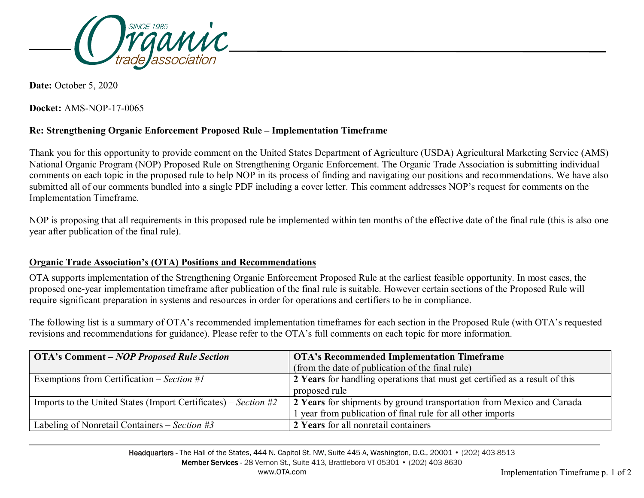

**Date:** October 5, 2020

**Docket:** AMS-NOP-17-0065

## **Re: Strengthening Organic Enforcement Proposed Rule – Implementation Timeframe**

Thank you for this opportunity to provide comment on the United States Department of Agriculture (USDA) Agricultural Marketing Service (AMS) National Organic Program (NOP) Proposed Rule on Strengthening Organic Enforcement. The Organic Trade Association is submitting individual comments on each topic in the proposed rule to help NOP in its process of finding and navigating our positions and recommendations. We have also submitted all of our comments bundled into a single PDF including a cover letter. This comment addresses NOP's request for comments on the Implementation Timeframe.

NOP is proposing that all requirements in this proposed rule be implemented within ten months of the effective date of the final rule (this is also one year after publication of the final rule).

## **Organic Trade Association's (OTA) Positions and Recommendations**

OTA supports implementation of the Strengthening Organic Enforcement Proposed Rule at the earliest feasible opportunity. In most cases, the proposed one-year implementation timeframe after publication of the final rule is suitable. However certain sections of the Proposed Rule will require significant preparation in systems and resources in order for operations and certifiers to be in compliance.

The following list is a summary of OTA's recommended implementation timeframes for each section in the Proposed Rule (with OTA's requested revisions and recommendations for guidance). Please refer to the OTA's full comments on each topic for more information.

| <b>OTA's Comment – NOP Proposed Rule Section</b>                  | <b>OTA's Recommended Implementation Timeframe</b>                           |
|-------------------------------------------------------------------|-----------------------------------------------------------------------------|
|                                                                   | (from the date of publication of the final rule)                            |
| Exemptions from Certification – Section #1                        | 2 Years for handling operations that must get certified as a result of this |
|                                                                   | proposed rule                                                               |
| Imports to the United States (Import Certificates) – Section $#2$ | 2 Years for shipments by ground transportation from Mexico and Canada       |
|                                                                   | year from publication of final rule for all other imports                   |
| Labeling of Nonretail Containers – Section $\#3$                  | 2 Years for all nonretail containers                                        |

Headquarters - The Hall of the States, 444 N. Capitol St. NW, Suite 445-A, Washington, D.C., 20001 • (202) 403-8513 Member Services - 28 Vernon St., Suite 413, Brattleboro VT 05301 • (202) 403-8630 www.OTA.com **Implementation Timeframe p. 1 of 2**